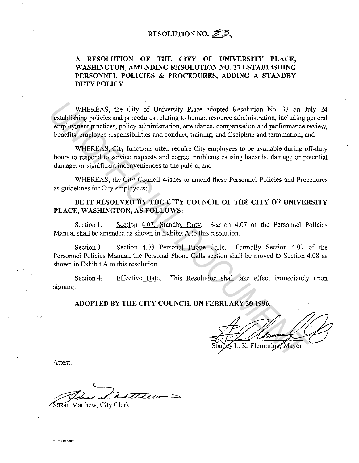# **RESOLUTION NO.**  $\mathcal{S}$ **3**

## **A RESOLUTION OF THE CITY OF UNIVERSITY PLACE,**  WASHINGTON, AMENDING RESOLUTION NO. 33 ESTABLISHING **PERSONNEL POLICIES & PROCEDURES, ADDING A STANDBY DUTY POLICY**

WHEREAS, the City of University Place adopted Resolution No. 33 on July 24 establishing policies and procedures relating to human resource administration, including general employment practices, policy administration, attendance, compensation and performance review, benefits, employee responsibilities and conduct, training, and discipline and termination; and WHEREAS, the City of University Place adopted Resolution No. 33 on *I*<sub>1</sub><br>establishing policies and procedures relating to human resource administration, including g<br>employment practices, policy administration, attendance,

WHEREAS, City functions often require City employees to be available during off-duty hours to respond to service requests and correct problems causing hazards, damage or potential damage, or significant inconveniences to the public; and

WHEREAS, the City Council wishes to amend these Personnel Policies and Procedures as guidelines for City employees;

### **BE IT RESOLVED BY THE CITY COUNCIL OF THE CITY OF UNIVERSITY PLACE, WASHINGTON, AS FOLLOWS:**

Section 1. Section 4.07: Standby Duty. Section 4.07 of the Personnel Policies Manual shall be amended as shown in Exhibit A to this resolution.

Section 3. Section 4.08 Personal Phone Calls. Formally Section 4.07 of the Personnel Policies Manual, the Personal Phone Calls section shall be moved to Section 4.08 as shown in Exhibit A to this resolution.

Section 4. signing. Effective Date. This Resolution shall take effect immediately upon

**ADOPTED BY THE CITY COUNCIL ON FEBRUARY 20 1996.** 

Attest:

Record Williams

usan Matthew, City Clerk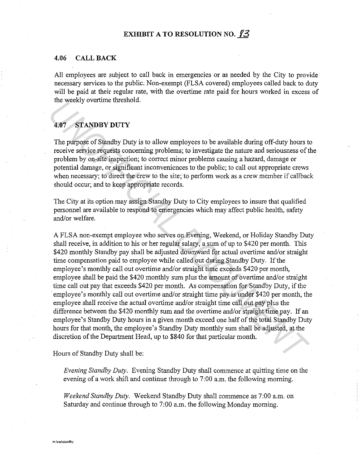#### **4.06 CALL BACK**

All employees are subject to call back in emergencies or as needed by the City to provide necessary services to the public. Non-exempt (FLSA covered) employees called back to duty will be paid at their regular rate, with the overtime rate paid for hours worked in excess of the weekly overtime threshold.

### **4.07 STANDBY DUTY**

The purpose of Standby Duty is to allow employees to be available during off-duty hours to receive service requests concerning problems; to investigate the nature and seriousness of the problem by on-site inspection; to correct minor problems causing a hazard, damage or potential damage, or significant inconveniences to the public; to call out appropriate crews when necessary; to direct the crew to the site; to perform work as a crew member if callback should occur; and to keep appropriate records.

The City at its option may assign Standby Duty to City employees to insure that qualified personnel are available to respond to emergencies which may affect public health, safety and/or welfare.

A FLSA non-exempt employee who serves on Evening, Weekend, or Holiday Standby Duty shall receive, in addition to his or her regular salary, a sum of up to \$420 per month. This \$420 monthly Standby pay shall be adjusted downward for actual overtime and/or straight time compensation paid to employee while called out during Standby Duty. If the employee's monthly call out overtime and/or straight time exceeds \$420 per month, employee shall be paid the \$420 monthly sum plus the amount of overtime and/or straight time call out pay that exceeds \$420 per month. As compensation for Standby Duty, if the employee's monthly call out overtime and/or straight time pay is under \$420 per month, the employee shall receive the actual overtime and/or straight time call out pay plus the difference between the \$420 monthly sum and the overtime and/or straight time pay. If an employee's Standby Duty hours in a given month exceed one half of the total Standby Duty hours for that month, the employee's Standby Duty monthly sum shall be adjusted, at the discretion of the Department Head, up to \$840 for that particular month. **4.07** STANDBY DUTY<br> **14.07** STANDBY DUTY<br> **14.07** The purpose of Sandhy Duty is to allow employees to be available during off-duty hours receive service requests concerning problems, to investigate the nature and seriousn

Hours of Standby Duty shall be:

*Evening Standby Duty.* Evening Standby Duty shall commence at quitting time on the evening of a work shift and continue through to 7:00 a.m. the following morning.

*Weekend Standby Duty.* Weekend Standby Duty shall commence as 7:00 a.m. on Saturday and continue through to 7:00 a.m. the following Monday morning.